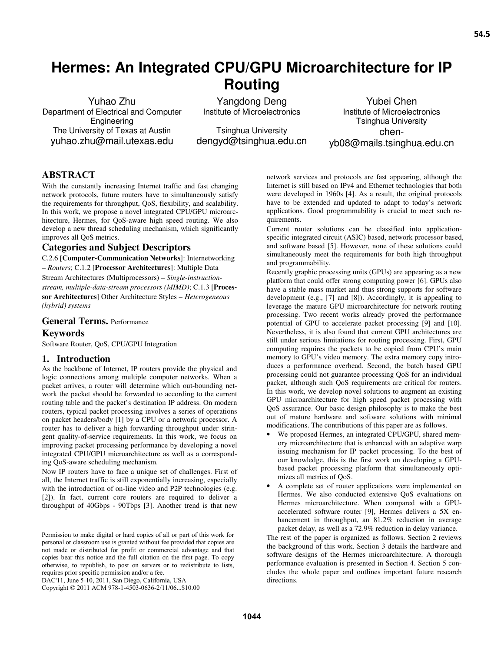# **Hermes: An Integrated CPU/GPU Microarchitecture for IP Routing**

Yuhao Zhu Department of Electrical and Computer **Engineering** The University of Texas at Austin yuhao.zhu@mail.utexas.edu

Yangdong Deng Institute of Microelectronics

Tsinghua University dengyd@tsinghua.edu.cn

Yubei Chen Institute of Microelectronics Tsinghua University chenyb08@mails.tsinghua.edu.cn

# **ABSTRACT**

With the constantly increasing Internet traffic and fast changing network protocols, future routers have to simultaneously satisfy the requirements for throughput, QoS, flexibility, and scalability. In this work, we propose a novel integrated CPU/GPU microarchitecture, Hermes, for QoS-aware high speed routing. We also develop a new thread scheduling mechanism, which significantly improves all QoS metrics.

# **Categories and Subject Descriptors**

C.2.6 [**Computer-Communication Networks**]: Internetworking – *Routers*; C.1.2 [**Processor Architectures**]: Multiple Data Stream Architectures (Multiprocessors) – *Single-instructionstream, multiple-data-stream processors (MIMD)*; C.1.3 [**Processor Architectures**] Other Architecture Styles – *Heterogeneous (hybrid) systems*

# **General Terms.** Performance

# **Keywords**

Software Router, QoS, CPU/GPU Integration

## **1. Introduction**

As the backbone of Internet, IP routers provide the physical and logic connections among multiple computer networks. When a packet arrives, a router will determine which out-bounding network the packet should be forwarded to according to the current routing table and the packet's destination IP address. On modern routers, typical packet processing involves a series of operations on packet headers/body [1] by a CPU or a network processor. A router has to deliver a high forwarding throughput under stringent quality-of-service requirements. In this work, we focus on improving packet processing performance by developing a novel integrated CPU/GPU microarchitecture as well as a corresponding QoS-aware scheduling mechanism.

Now IP routers have to face a unique set of challenges. First of all, the Internet traffic is still exponentially increasing, especially with the introduction of on-line video and P2P technologies (e.g. [2]). In fact, current core routers are required to deliver a throughput of 40Gbps - 90Tbps [3]. Another trend is that new

DAC'11, June 5-10, 2011, San Diego, California, USA

Copyright © 2011 ACM 978-1-4503-0636-2/11/06...\$10.00

network services and protocols are fast appearing, although the Internet is still based on IPv4 and Ethernet technologies that both were developed in 1960s [4]. As a result, the original protocols have to be extended and updated to adapt to today's network applications. Good programmability is crucial to meet such requirements.

Current router solutions can be classified into applicationspecific integrated circuit (ASIC) based, network processor based, and software based [5]. However, none of these solutions could simultaneously meet the requirements for both high throughput and programmability.

Recently graphic processing units (GPUs) are appearing as a new platform that could offer strong computing power [6]. GPUs also have a stable mass market and thus strong supports for software development (e.g., [7] and [8]). Accordingly, it is appealing to leverage the mature GPU microarchitecture for network routing processing. Two recent works already proved the performance potential of GPU to accelerate packet processing [9] and [10]. Nevertheless, it is also found that current GPU architectures are still under serious limitations for routing processing. First, GPU computing requires the packets to be copied from CPU's main memory to GPU's video memory. The extra memory copy introduces a performance overhead. Second, the batch based GPU processing could not guarantee processing QoS for an individual packet, although such QoS requirements are critical for routers. In this work, we develop novel solutions to augment an existing GPU microarchitecture for high speed packet processing with QoS assurance. Our basic design philosophy is to make the best out of mature hardware and software solutions with minimal modifications. The contributions of this paper are as follows.

- We proposed Hermes, an integrated CPU/GPU, shared memory microarchitecture that is enhanced with an adaptive warp issuing mechanism for IP packet processing. To the best of our knowledge, this is the first work on developing a GPUbased packet processing platform that simultaneously optimizes all metrics of QoS.
- A complete set of router applications were implemented on Hermes. We also conducted extensive QoS evaluations on Hermes microarchitecture. When compared with a GPUaccelerated software router [9], Hermes delivers a 5X enhancement in throughput, an 81.2% reduction in average packet delay, as well as a 72.9% reduction in delay variance.

The rest of the paper is organized as follows. Section 2 reviews the background of this work. Section 3 details the hardware and software designs of the Hermes microarchitecture. A thorough performance evaluation is presented in Section 4. Section 5 concludes the whole paper and outlines important future research directions.

Permission to make digital or hard copies of all or part of this work for personal or classroom use is granted without fee provided that copies are not made or distributed for profit or commercial advantage and that copies bear this notice and the full citation on the first page. To copy otherwise, to republish, to post on servers or to redistribute to lists, requires prior specific permission and/or a fee.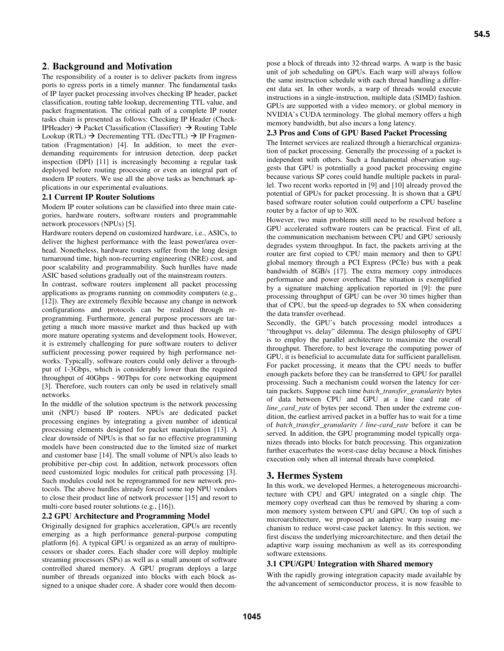# **2**. **Background and Motivation**

The responsibility of a router is to deliver packets from ingress ports to egress ports in a timely manner. The fundamental tasks of IP layer packet processing involves checking IP header, packet classification, routing table lookup, decrementing TTL value, and packet fragmentation. The critical path of a complete IP router tasks chain is presented as follows: Checking IP Header (Check-IPHeader)  $\rightarrow$  Packet Classification (Classifier)  $\rightarrow$  Routing Table Lookup (RTL)  $\rightarrow$  Decrementing TTL (DecTTL)  $\rightarrow$  IP Fragmentation (Fragmentation) [4]. In addition, to meet the everdemanding requirements for intrusion detection, deep packet inspection (DPI) [11] is increasingly becoming a regular task deployed before routing processing or even an integral part of modern IP routers. We use all the above tasks as benchmark applications in our experimental evaluations.

#### **2.1 Current IP Router Solutions**

Modern IP router solutions can be classified into three main categories, hardware routers, software routers and programmable network processors (NPUs) [5].

Hardware routers depend on customized hardware, i.e., ASICs, to deliver the highest performance with the least power/area overhead. Nonetheless, hardware routers suffer from the long design turnaround time, high non-recurring engineering (NRE) cost, and poor scalability and programmability. Such hurdles have made ASIC based solutions gradually out of the mainstream routers.

In contrast, software routers implement all packet processing applications as programs running on commodity computers (e.g., [12]). They are extremely flexible because any change in network configurations and protocols can be realized through reprogramming. Furthermore, general purpose processors are targeting a much more massive market and thus backed up with more mature operating systems and development tools. However, it is extremely challenging for pure software routers to deliver sufficient processing power required by high performance networks. Typically, software routers could only deliver a throughput of 1-3Gbps, which is considerably lower than the required throughput of 40Gbps - 90Tbps for core networking equipment [3]. Therefore, such routers can only be used in relatively small networks.

In the middle of the solution spectrum is the network processing unit (NPU) based IP routers. NPUs are dedicated packet processing engines by integrating a given number of identical processing elements designed for packet manipulation [13]. A clear downside of NPUs is that so far no effective programming models have been constructed due to the limited size of market and customer base [14]. The small volume of NPUs also leads to prohibitive per-chip cost. In addition, network processors often need customized logic modules for critical path processing [3]. Such modules could not be reprogrammed for new network protocols. The above hurdles already forced some top NPU vendors to close their product line of network processor [15] and resort to multi-core based router solutions (e.g., [16]).

## **2.2 GPU Architecture and Programming Model**

Originally designed for graphics acceleration, GPUs are recently emerging as a high performance general-purpose computing platform [6]. A typical GPU is organized as an array of multiprocessors or shader cores. Each shader core will deploy multiple streaming processors (SPs) as well as a small amount of software controlled shared memory. A GPU program deploys a large number of threads organized into blocks with each block assigned to a unique shader core. A shader core would then decom-

pose a block of threads into 32-thread warps. A warp is the basic unit of job scheduling on GPUs. Each warp will always follow the same instruction schedule with each thread handling a different data set. In other words, a warp of threads would execute instructions in a single-instruction, multiple data (SIMD) fashion. GPUs are supported with a video memory, or global memory in NVIDIA's CUDA terminology. The global memory offers a high memory bandwidth, but also incurs a long latency.

# **2.3 Pros and Cons of GPU Based Packet Processing**

The Internet services are realized through a hierarchical organization of packet processing. Generally the processing of a packet is independent with others. Such a fundamental observation suggests that GPU is potentially a good packet processing engine because various SP cores could handle multiple packets in parallel. Two recent works reported in [9] and [10] already proved the potential of GPUs for packet processing. It is shown that a GPU based software router solution could outperform a CPU baseline router by a factor of up to 30X.

However, two main problems still need to be resolved before a GPU accelerated software routers can be practical. First of all, the communication mechanism between CPU and GPU seriously degrades system throughput. In fact, the packets arriving at the router are first copied to CPU main memory and then to GPU global memory through a PCI Express (PCIe) bus with a peak bandwidth of 8GB/s [17]. The extra memory copy introduces performance and power overhead. The situation is exemplified by a signature matching application reported in [9]: the pure processing throughput of GPU can be over 30 times higher than that of CPU, but the speed-up degrades to 5X when considering the data transfer overhead.

Secondly, the GPU's batch processing model introduces a "throughput vs. delay" dilemma. The design philosophy of GPU is to employ the parallel architecture to maximize the overall throughput. Therefore, to best leverage the computing power of GPU, it is beneficial to accumulate data for sufficient parallelism. For packet processing, it means that the CPU needs to buffer enough packets before they can be transferred to GPU for parallel processing. Such a mechanism could worsen the latency for certain packets. Suppose each time *batch\_transfer\_granularity* bytes of data between CPU and GPU at a line card rate of *line\_card\_rate* of bytes per second. Then under the extreme condition, the earliest arrived packet in a buffer has to wait for a time of *batch\_transfer\_granularity / line-card\_rate* before it can be served. In addition, the GPU programming model typically organizes threads into blocks for batch processing. This organization further exacerbates the worst-case delay because a block finishes execution only when all internal threads have completed.

## **3. Hermes System**

In this work, we developed Hermes, a heterogeneous microarchitecture with CPU and GPU integrated on a single chip. The memory copy overhead can thus be removed by sharing a common memory system between CPU and GPU. On top of such a microarchitecture, we proposed an adaptive warp issuing mechanism to reduce worst-case packet latency. In this section, we first discuss the underlying microarchitecture, and then detail the adaptive warp issuing mechanism as well as its corresponding software extensions.

#### **3.1 CPU/GPU Integration with Shared memory**

With the rapidly growing integration capacity made available by the advancement of semiconductor process, it is now feasible to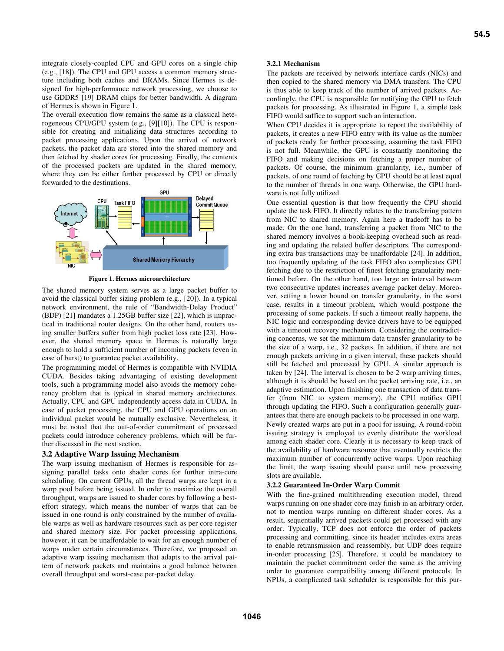integrate closely-coupled CPU and GPU cores on a single chip (e.g., [18]). The CPU and GPU access a common memory structure including both caches and DRAMs. Since Hermes is designed for high-performance network processing, we choose to use GDDR5 [19] DRAM chips for better bandwidth. A diagram of Hermes is shown in Figure 1.

The overall execution flow remains the same as a classical heterogeneous CPU/GPU system (e.g., [9][10]). The CPU is responsible for creating and initializing data structures according to packet processing applications. Upon the arrival of network packets, the packet data are stored into the shared memory and then fetched by shader cores for processing. Finally, the contents of the processed packets are updated in the shared memory, where they can be either further processed by CPU or directly forwarded to the destinations.



**Figure 1. Hermes microarchitecture**

The shared memory system serves as a large packet buffer to avoid the classical buffer sizing problem (e.g., [20]). In a typical network environment, the rule of "Bandwidth-Delay Product" (BDP) [21] mandates a 1.25GB buffer size [22], which is impractical in traditional router designs. On the other hand, routers using smaller buffers suffer from high packet loss rate [23]. However, the shared memory space in Hermes is naturally large enough to hold a sufficient number of incoming packets (even in case of burst) to guarantee packet availability.

The programming model of Hermes is compatible with NVIDIA CUDA. Besides taking advantaging of existing development tools, such a programming model also avoids the memory coherency problem that is typical in shared memory architectures. Actually, CPU and GPU independently access data in CUDA. In case of packet processing, the CPU and GPU operations on an individual packet would be mutually exclusive. Nevertheless, it must be noted that the out-of-order commitment of processed packets could introduce coherency problems, which will be further discussed in the next section.

#### **3.2 Adaptive Warp Issuing Mechanism**

The warp issuing mechanism of Hermes is responsible for assigning parallel tasks onto shader cores for further intra-core scheduling. On current GPUs, all the thread warps are kept in a warp pool before being issued. In order to maximize the overall throughput, warps are issued to shader cores by following a besteffort strategy, which means the number of warps that can be issued in one round is only constrained by the number of available warps as well as hardware resources such as per core register and shared memory size. For packet processing applications, however, it can be unaffordable to wait for an enough number of warps under certain circumstances. Therefore, we proposed an adaptive warp issuing mechanism that adapts to the arrival pattern of network packets and maintains a good balance between overall throughput and worst-case per-packet delay.

#### **3.2.1 Mechanism**

The packets are received by network interface cards (NICs) and then copied to the shared memory via DMA transfers. The CPU is thus able to keep track of the number of arrived packets. Accordingly, the CPU is responsible for notifying the GPU to fetch packets for processing. As illustrated in Figure 1, a simple task FIFO would suffice to support such an interaction.

When CPU decides it is appropriate to report the availability of packets, it creates a new FIFO entry with its value as the number of packets ready for further processing, assuming the task FIFO is not full. Meanwhile, the GPU is constantly monitoring the FIFO and making decisions on fetching a proper number of packets. Of course, the minimum granularity, i.e., number of packets, of one round of fetching by GPU should be at least equal to the number of threads in one warp. Otherwise, the GPU hardware is not fully utilized.

One essential question is that how frequently the CPU should update the task FIFO. It directly relates to the transferring pattern from NIC to shared memory. Again here a tradeoff has to be made. On the one hand, transferring a packet from NIC to the shared memory involves a book-keeping overhead such as reading and updating the related buffer descriptors. The corresponding extra bus transactions may be unaffordable [24]. In addition, too frequently updating of the task FIFO also complicates GPU fetching due to the restriction of finest fetching granularity mentioned before. On the other hand, too large an interval between two consecutive updates increases average packet delay. Moreover, setting a lower bound on transfer granularity, in the worst case, results in a timeout problem, which would postpone the processing of some packets. If such a timeout really happens, the NIC logic and corresponding device drivers have to be equipped with a timeout recovery mechanism. Considering the contradicting concerns, we set the minimum data transfer granularity to be the size of a warp, i.e., 32 packets. In addition, if there are not enough packets arriving in a given interval, these packets should still be fetched and processed by GPU. A similar approach is taken by [24]. The interval is chosen to be 2 warp arriving times, although it is should be based on the packet arriving rate, i.e., an adaptive estimation. Upon finishing one transaction of data transfer (from NIC to system memory), the CPU notifies GPU through updating the FIFO. Such a configuration generally guarantees that there are enough packets to be processed in one warp. Newly created warps are put in a pool for issuing. A round-robin issuing strategy is employed to evenly distribute the workload among each shader core. Clearly it is necessary to keep track of the availability of hardware resource that eventually restricts the maximum number of concurrently active warps. Upon reaching the limit, the warp issuing should pause until new processing slots are available.

#### **3.2.2 Guaranteed In-Order Warp Commit**

With the fine-grained multithreading execution model, thread warps running on one shader core may finish in an arbitrary order, not to mention warps running on different shader cores. As a result, sequentially arrived packets could get processed with any order. Typically, TCP does not enforce the order of packets processing and committing, since its header includes extra areas to enable retransmission and reassembly, but UDP does require in-order processing [25]. Therefore, it could be mandatory to maintain the packet commitment order the same as the arriving order to guarantee compatibility among different protocols. In NPUs, a complicated task scheduler is responsible for this pur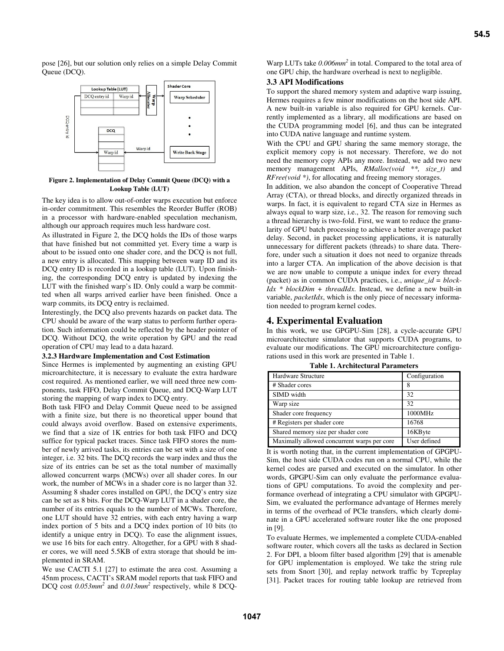pose [26], but our solution only relies on a simple Delay Commit Queue (DCQ).



### **Figure 2. Implementation of Delay Commit Queue (DCQ) with a Lookup Table (LUT)**

The key idea is to allow out-of-order warps execution but enforce in-order commitment. This resembles the Reorder Buffer (ROB) in a processor with hardware-enabled speculation mechanism, although our approach requires much less hardware cost.

As illustrated in Figure 2, the DCQ holds the IDs of those warps that have finished but not committed yet. Every time a warp is about to be issued onto one shader core, and the DCQ is not full, a new entry is allocated. This mapping between warp ID and its DCQ entry ID is recorded in a lookup table (LUT). Upon finishing, the corresponding DCQ entry is updated by indexing the LUT with the finished warp's ID. Only could a warp be committed when all warps arrived earlier have been finished. Once a warp commits, its DCQ entry is reclaimed.

Interestingly, the DCQ also prevents hazards on packet data. The CPU should be aware of the warp status to perform further operation. Such information could be reflected by the header pointer of DCQ. Without DCQ, the write operation by GPU and the read operation of CPU may lead to a data hazard.

#### **3.2.3 Hardware Implementation and Cost Estimation**

Since Hermes is implemented by augmenting an existing GPU microarchitecture, it is necessary to evaluate the extra hardware cost required. As mentioned earlier, we will need three new components, task FIFO, Delay Commit Queue, and DCQ-Warp LUT storing the mapping of warp index to DCQ entry.

Both task FIFO and Delay Commit Queue need to be assigned with a finite size, but there is no theoretical upper bound that could always avoid overflow. Based on extensive experiments, we find that a size of 1K entries for both task FIFO and DCQ suffice for typical packet traces. Since task FIFO stores the number of newly arrived tasks, its entries can be set with a size of one integer, i.e. 32 bits. The DCQ records the warp index and thus the size of its entries can be set as the total number of maximally allowed concurrent warps (MCWs) over all shader cores. In our work, the number of MCWs in a shader core is no larger than 32. Assuming 8 shader cores installed on GPU, the DCQ's entry size can be set as 8 bits. For the DCQ-Warp LUT in a shader core, the number of its entries equals to the number of MCWs. Therefore, one LUT should have 32 entries, with each entry having a warp index portion of 5 bits and a DCQ index portion of 10 bits (to identify a unique entry in DCQ). To ease the alignment issues, we use 16 bits for each entry. Altogether, for a GPU with 8 shader cores, we will need 5.5KB of extra storage that should be implemented in SRAM.

We use CACTI 5.1 [27] to estimate the area cost. Assuming a 45nm process, CACTI's SRAM model reports that task FIFO and DCQ cost 0.053mm<sup>2</sup> and 0.013mm<sup>2</sup> respectively, while 8 DCQ-

Warp LUTs take *0.006mm<sup>2</sup>* in total. Compared to the total area of one GPU chip, the hardware overhead is next to negligible.

## **3.3 API Modifications**

To support the shared memory system and adaptive warp issuing, Hermes requires a few minor modifications on the host side API. A new built-in variable is also required for GPU kernels. Currently implemented as a library, all modifications are based on the CUDA programming model [6], and thus can be integrated into CUDA native language and runtime system.

With the CPU and GPU sharing the same memory storage, the explicit memory copy is not necessary. Therefore, we do not need the memory copy APIs any more. Instead, we add two new memory management APIs, *RMalloc(void \*\*, size\_t)* and *RFree(void \*)*, for allocating and freeing memory storages.

In addition, we also abandon the concept of Cooperative Thread Array (CTA), or thread blocks, and directly organized threads in warps. In fact, it is equivalent to regard CTA size in Hermes as always equal to warp size, i.e., 32. The reason for removing such a thread hierarchy is two-fold. First, we want to reduce the granularity of GPU batch processing to achieve a better average packet delay. Second, in packet processing applications, it is naturally unnecessary for different packets (threads) to share data. Therefore, under such a situation it does not need to organize threads into a larger CTA. An implication of the above decision is that we are now unable to compute a unique index for every thread (packet) as in common CUDA practices, i.e., *unique\_id = block-Idx \* blockDim + threadIdx*. Instead, we define a new built-in variable, *packetIdx*, which is the only piece of necessary information needed to program kernel codes.

# **4. Experimental Evaluation**

In this work, we use GPGPU-Sim [28], a cycle-accurate GPU microarchitecture simulator that supports CUDA programs, to evaluate our modifications. The GPU microarchitecture configurations used in this work are presented in Table 1.

| Hardware Structure                          | Configuration |
|---------------------------------------------|---------------|
| # Shader cores                              | 8             |
| SIMD width                                  | 32            |
| Warp size                                   | 32            |
| Shader core frequency                       | 1000MHz       |
| # Registers per shader core                 | 16768         |
| Shared memory size per shader core          | 16KByte       |
| Maximally allowed concurrent warps per core | User defined  |

**Table 1. Architectural Parameters**

It is worth noting that, in the current implementation of GPGPU-Sim, the host side CUDA codes run on a normal CPU, while the kernel codes are parsed and executed on the simulator. In other words, GPGPU-Sim can only evaluate the performance evaluations of GPU computations. To avoid the complexity and performance overhead of integrating a CPU simulator with GPGPU-Sim, we evaluated the performance advantage of Hermes merely in terms of the overhead of PCIe transfers, which clearly dominate in a GPU accelerated software router like the one proposed in [9].

To evaluate Hermes, we implemented a complete CUDA-enabled software router, which covers all the tasks as declared in Section 2. For DPI, a bloom filter based algorithm [29] that is amenable for GPU implementation is employed. We take the string rule sets from Snort [30], and replay network traffic by Tcpreplay [31]. Packet traces for routing table lookup are retrieved from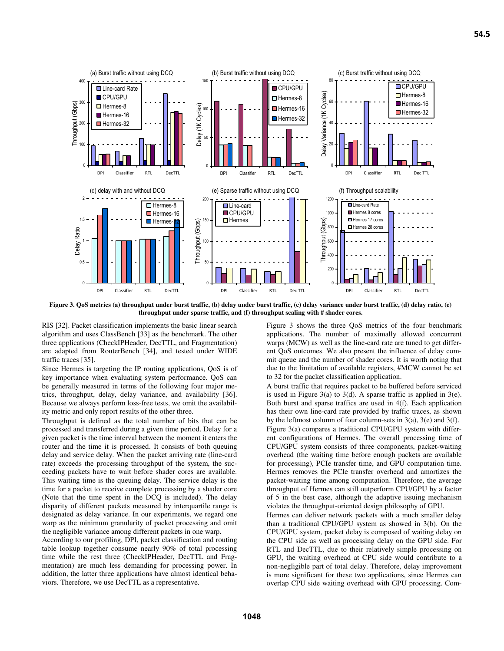

**Figure 3. QoS metrics (a) throughput under burst traffic, (b) delay under burst traffic, (c) delay variance under burst traffic, (d) delay ratio, (e) throughput under sparse traffic, and (f) throughput scaling with # shader cores.** 

RIS [32]. Packet classification implements the basic linear search algorithm and uses ClassBench [33] as the benchmark. The other three applications (CheckIPHeader, DecTTL, and Fragmentation) are adapted from RouterBench [34], and tested under WIDE traffic traces [35].

Since Hermes is targeting the IP routing applications, QoS is of key importance when evaluating system performance. QoS can be generally measured in terms of the following four major metrics, throughput, delay, delay variance, and availability [36]. Because we always perform loss-free tests, we omit the availability metric and only report results of the other three.

Throughput is defined as the total number of bits that can be processed and transferred during a given time period. Delay for a given packet is the time interval between the moment it enters the router and the time it is processed. It consists of both queuing delay and service delay. When the packet arriving rate (line-card rate) exceeds the processing throughput of the system, the succeeding packets have to wait before shader cores are available. This waiting time is the queuing delay. The service delay is the time for a packet to receive complete processing by a shader core (Note that the time spent in the DCQ is included). The delay disparity of different packets measured by interquartile range is designated as delay variance. In our experiments, we regard one warp as the minimum granularity of packet processing and omit the negligible variance among different packets in one warp.

According to our profiling, DPI, packet classification and routing table lookup together consume nearly 90% of total processing time while the rest three (CheckIPHeader, DecTTL and Fragmentation) are much less demanding for processing power. In addition, the latter three applications have almost identical behaviors. Therefore, we use DecTTL as a representative.

Figure 3 shows the three QoS metrics of the four benchmark applications. The number of maximally allowed concurrent warps (MCW) as well as the line-card rate are tuned to get different QoS outcomes. We also present the influence of delay commit queue and the number of shader cores. It is worth noting that due to the limitation of available registers, #MCW cannot be set to 32 for the packet classification application.

A burst traffic that requires packet to be buffered before serviced is used in Figure 3(a) to 3(d). A sparse traffic is applied in 3(e). Both burst and sparse traffics are used in 4(f). Each application has their own line-card rate provided by traffic traces, as shown by the leftmost column of four column-sets in 3(a), 3(e) and 3(f). Figure 3(a) compares a traditional CPU/GPU system with different configurations of Hermes. The overall processing time of CPU/GPU system consists of three components, packet-waiting overhead (the waiting time before enough packets are available for processing), PCIe transfer time, and GPU computation time. Hermes removes the PCIe transfer overhead and amortizes the packet-waiting time among computation. Therefore, the average throughput of Hermes can still outperform CPU/GPU by a factor of 5 in the best case, although the adaptive issuing mechanism violates the throughput-oriented design philosophy of GPU.

Hermes can deliver network packets with a much smaller delay than a traditional CPU/GPU system as showed in 3(b). On the CPU/GPU system, packet delay is composed of waiting delay on the CPU side as well as processing delay on the GPU side. For RTL and DecTTL, due to their relatively simple processing on GPU, the waiting overhead at CPU side would contribute to a non-negligible part of total delay. Therefore, delay improvement is more significant for these two applications, since Hermes can overlap CPU side waiting overhead with GPU processing. Com-